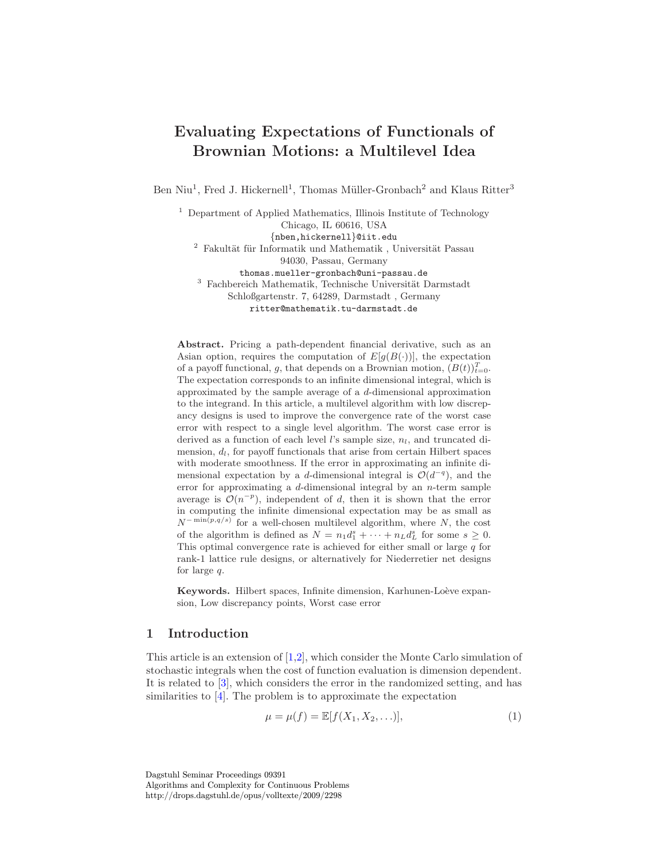# Evaluating Expectations of Functionals of Brownian Motions: a Multilevel Idea

Ben Niu<sup>1</sup>, Fred J. Hickernell<sup>1</sup>, Thomas Müller-Gronbach<sup>2</sup> and Klaus Ritter<sup>3</sup>

<sup>1</sup> Department of Applied Mathematics, Illinois Institute of Technology Chicago, IL 60616, USA {nben,hickernell}@iit.edu  $2$  Fakultät für Informatik und Mathematik, Universität Passau 94030, Passau, Germany thomas.mueller-gronbach@uni-passau.de  $^3$  Fachbereich Mathematik, Technische Universität Darmstadt Schloßgartenstr. 7, 64289, Darmstadt , Germany ritter@mathematik.tu-darmstadt.de

Abstract. Pricing a path-dependent financial derivative, such as an Asian option, requires the computation of  $E[g(B(\cdot))]$ , the expectation of a payoff functional, g, that depends on a Brownian motion,  $(B(t))_{t=0}^T$ . The expectation corresponds to an infinite dimensional integral, which is approximated by the sample average of a d-dimensional approximation to the integrand. In this article, a multilevel algorithm with low discrepancy designs is used to improve the convergence rate of the worst case error with respect to a single level algorithm. The worst case error is derived as a function of each level l's sample size,  $n_l$ , and truncated dimension,  $d_l$ , for payoff functionals that arise from certain Hilbert spaces with moderate smoothness. If the error in approximating an infinite dimensional expectation by a d-dimensional integral is  $\mathcal{O}(d^{-q})$ , and the error for approximating a d-dimensional integral by an  $n$ -term sample average is  $\mathcal{O}(n^{-p})$ , independent of d, then it is shown that the error in computing the infinite dimensional expectation may be as small as  $N^{-\min(p,q/s)}$  for a well-chosen multilevel algorithm, where N, the cost of the algorithm is defined as  $N = n_1 d_1^s + \cdots + n_L d_L^s$  for some  $s \geq 0$ . This optimal convergence rate is achieved for either small or large  $q$  for rank-1 lattice rule designs, or alternatively for Niederretier net designs for large q.

Keywords. Hilbert spaces, Infinite dimension, Karhunen-Loève expansion, Low discrepancy points, Worst case error

## <span id="page-0-1"></span>1 Introduction

This article is an extension of [\[1](#page-18-0)[,2\]](#page-18-1), which consider the Monte Carlo simulation of stochastic integrals when the cost of function evaluation is dimension dependent. It is related to [\[3\]](#page-18-2), which considers the error in the randomized setting, and has similarities to [\[4\]](#page-18-3). The problem is to approximate the expectation

<span id="page-0-0"></span>
$$
\mu = \mu(f) = \mathbb{E}[f(X_1, X_2, \ldots)],\tag{1}
$$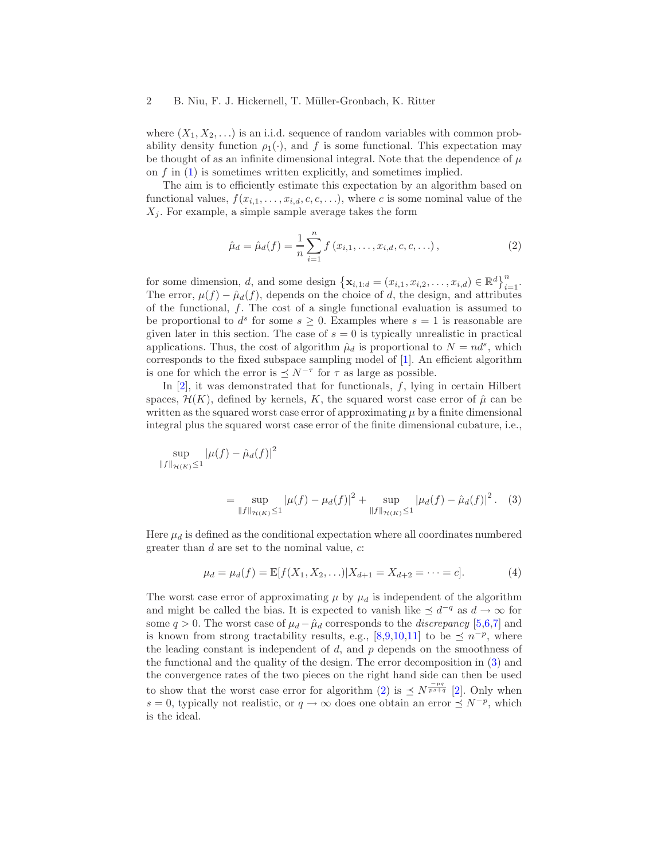where  $(X_1, X_2, \ldots)$  is an i.i.d. sequence of random variables with common probability density function  $\rho_1(\cdot)$ , and f is some functional. This expectation may be thought of as an infinite dimensional integral. Note that the dependence of  $\mu$ on  $f$  in  $(1)$  is sometimes written explicitly, and sometimes implied.

The aim is to efficiently estimate this expectation by an algorithm based on functional values,  $f(x_{i,1}, \ldots, x_{i,d}, c, c, \ldots)$ , where c is some nominal value of the  $X_i$ . For example, a simple sample average takes the form

<span id="page-1-1"></span>
$$
\hat{\mu}_d = \hat{\mu}_d(f) = \frac{1}{n} \sum_{i=1}^n f(x_{i,1}, \dots, x_{i,d}, c, c, \dots),
$$
\n(2)

for some dimension, d, and some design  $\{\mathbf{x}_{i,1:d} = (x_{i,1}, x_{i,2}, \dots, x_{i,d}) \in \mathbb{R}^d\}_{i=1}^n$ . The error,  $\mu(f) - \hat{\mu}_d(f)$ , depends on the choice of d, the design, and attributes of the functional,  $f$ . The cost of a single functional evaluation is assumed to be proportional to  $d^s$  for some  $s \geq 0$ . Examples where  $s = 1$  is reasonable are given later in this section. The case of  $s = 0$  is typically unrealistic in practical applications. Thus, the cost of algorithm  $\hat{\mu}_d$  is proportional to  $N = nd^s$ , which corresponds to the fixed subspace sampling model of [\[1\]](#page-18-0). An efficient algorithm is one for which the error is  $\leq N^{-\tau}$  for  $\tau$  as large as possible.

In  $[2]$ , it was demonstrated that for functionals, f, lying in certain Hilbert spaces,  $\mathcal{H}(K)$ , defined by kernels, K, the squared worst case error of  $\hat{\mu}$  can be written as the squared worst case error of approximating  $\mu$  by a finite dimensional integral plus the squared worst case error of the finite dimensional cubature, i.e.,

$$
\sup_{\|f\|_{\mathcal{H}(K)} \le 1} |\mu(f) - \hat{\mu}_d(f)|^2
$$

<span id="page-1-0"></span>
$$
= \sup_{\|f\|_{\mathcal{H}(K)} \le 1} |\mu(f) - \mu_d(f)|^2 + \sup_{\|f\|_{\mathcal{H}(K)} \le 1} |\mu_d(f) - \hat{\mu}_d(f)|^2. \tag{3}
$$

Here  $\mu_d$  is defined as the conditional expectation where all coordinates numbered greater than  $d$  are set to the nominal value,  $c$ :

<span id="page-1-2"></span>
$$
\mu_d = \mu_d(f) = \mathbb{E}[f(X_1, X_2, \ldots) | X_{d+1} = X_{d+2} = \cdots = c]. \tag{4}
$$

The worst case error of approximating  $\mu$  by  $\mu_d$  is independent of the algorithm and might be called the bias. It is expected to vanish like  $\preceq d^{-q}$  as  $d \to \infty$  for some  $q > 0$ . The worst case of  $\mu_d - \hat{\mu}_d$  corresponds to the *discrepancy* [\[5,](#page-18-4)[6](#page-18-5)[,7\]](#page-18-6) and is known from strong tractability results, e.g., [\[8](#page-18-7)[,9,](#page-18-8)[10](#page-18-9)[,11\]](#page-18-10) to be  $\preceq n^{-p}$ , where the leading constant is independent of  $d$ , and  $p$  depends on the smoothness of the functional and the quality of the design. The error decomposition in [\(3\)](#page-1-0) and the convergence rates of the two pieces on the right hand side can then be used to show that the worst case error for algorithm [\(2\)](#page-1-1) is  $\preceq N^{\frac{-pq}{ps+q}}$  [\[2\]](#page-18-1). Only when  $s = 0$ , typically not realistic, or  $q \to \infty$  does one obtain an error  $\preceq N^{-p}$ , which is the ideal.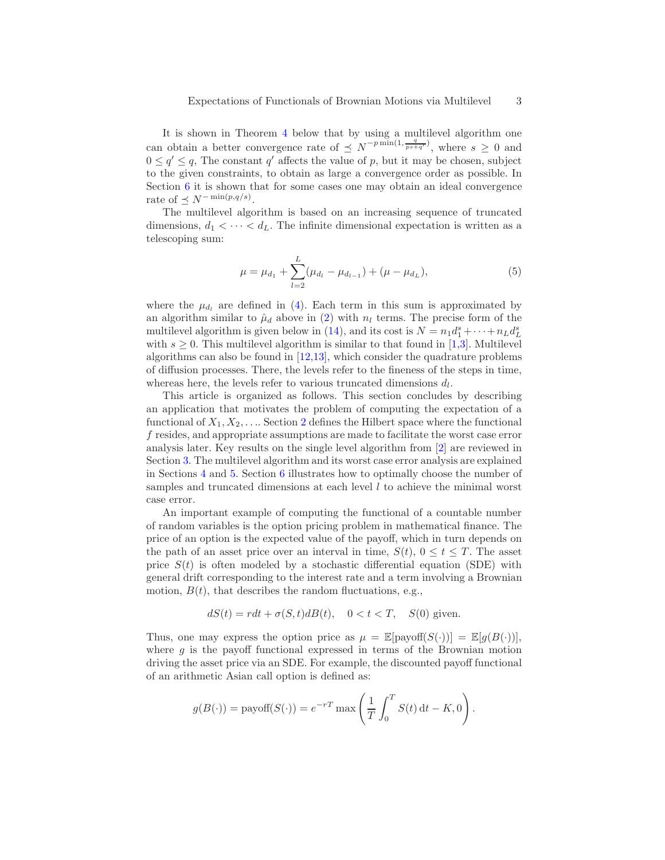It is shown in Theorem [4](#page-14-0) below that by using a multilevel algorithm one can obtain a better convergence rate of  $\leq N^{-p \min(1, \frac{q}{ps+q'})}$ , where  $s \geq 0$  and  $0 \le q' \le q$ , The constant q' affects the value of p, but it may be chosen, subject to the given constraints, to obtain as large a convergence order as possible. In Section [6](#page-12-0) it is shown that for some cases one may obtain an ideal convergence rate of  $\preceq N^{-\min(p,q/s)}$ .

The multilevel algorithm is based on an increasing sequence of truncated dimensions,  $d_1 < \cdots < d_L$ . The infinite dimensional expectation is written as a telescoping sum:

<span id="page-2-0"></span>
$$
\mu = \mu_{d_1} + \sum_{l=2}^{L} (\mu_{d_l} - \mu_{d_{l-1}}) + (\mu - \mu_{d_L}), \tag{5}
$$

where the  $\mu_{d_l}$  are defined in [\(4\)](#page-1-2). Each term in this sum is approximated by an algorithm similar to  $\hat{\mu}_d$  above in [\(2\)](#page-1-1) with  $n_l$  terms. The precise form of the multilevel algorithm is given below in [\(14\)](#page-8-0), and its cost is  $N = n_1 d_1^s + \cdots + n_L d_L^s$ with  $s \geq 0$ . This multilevel algorithm is similar to that found in [\[1,](#page-18-0)[3\]](#page-18-2). Multilevel algorithms can also be found in  $[12,13]$  $[12,13]$ , which consider the quadrature problems of diffusion processes. There, the levels refer to the fineness of the steps in time, whereas here, the levels refer to various truncated dimensions  $d_l$ .

This article is organized as follows. This section concludes by describing an application that motivates the problem of computing the expectation of a functional of  $X_1, X_2, \ldots$  $X_1, X_2, \ldots$  $X_1, X_2, \ldots$  Section 2 defines the Hilbert space where the functional f resides, and appropriate assumptions are made to facilitate the worst case error analysis later. Key results on the single level algorithm from [\[2\]](#page-18-1) are reviewed in Section [3.](#page-6-0) The multilevel algorithm and its worst case error analysis are explained in Sections [4](#page-7-0) and [5.](#page-8-1) Section [6](#page-12-0) illustrates how to optimally choose the number of samples and truncated dimensions at each level  $l$  to achieve the minimal worst case error.

An important example of computing the functional of a countable number of random variables is the option pricing problem in mathematical finance. The price of an option is the expected value of the payoff, which in turn depends on the path of an asset price over an interval in time,  $S(t)$ ,  $0 \le t \le T$ . The asset price  $S(t)$  is often modeled by a stochastic differential equation (SDE) with general drift corresponding to the interest rate and a term involving a Brownian motion,  $B(t)$ , that describes the random fluctuations, e.g.,

$$
dS(t) = rdt + \sigma(S, t)dB(t), \quad 0 < t < T, \quad S(0) \text{ given.}
$$

Thus, one may express the option price as  $\mu = \mathbb{E}[\text{payoff}(S(\cdot))] = \mathbb{E}[q(B(\cdot))],$ where  $g$  is the payoff functional expressed in terms of the Brownian motion driving the asset price via an SDE. For example, the discounted payoff functional of an arithmetic Asian call option is defined as:

$$
g(B(\cdot)) = \text{payoff}(S(\cdot)) = e^{-rT} \max\left(\frac{1}{T} \int_0^T S(t) dt - K, 0\right).
$$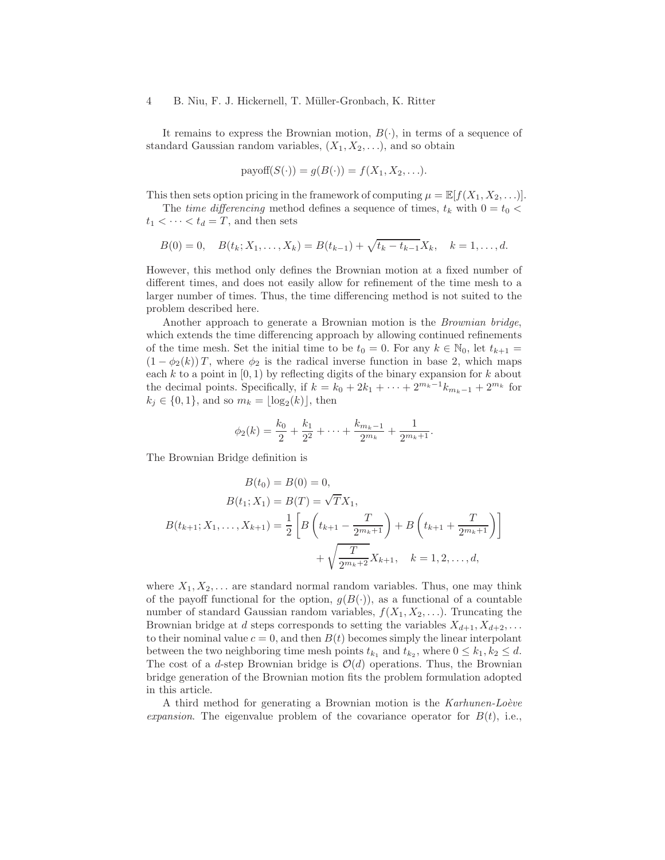It remains to express the Brownian motion,  $B(\cdot)$ , in terms of a sequence of standard Gaussian random variables,  $(X_1, X_2, \ldots)$ , and so obtain

$$
payoff(S(\cdot)) = g(B(\cdot)) = f(X_1, X_2, \ldots).
$$

This then sets option pricing in the framework of computing  $\mu = \mathbb{E}[f(X_1, X_2, \ldots)].$ 

The *time differencing* method defines a sequence of times,  $t_k$  with  $0 = t_0$  <  $t_1 < \cdots < t_d = T$ , and then sets

$$
B(0) = 0, \quad B(t_k; X_1, \dots, X_k) = B(t_{k-1}) + \sqrt{t_k - t_{k-1}} X_k, \quad k = 1, \dots, d.
$$

However, this method only defines the Brownian motion at a fixed number of different times, and does not easily allow for refinement of the time mesh to a larger number of times. Thus, the time differencing method is not suited to the problem described here.

Another approach to generate a Brownian motion is the *Brownian bridge*, which extends the time differencing approach by allowing continued refinements of the time mesh. Set the initial time to be  $t_0 = 0$ . For any  $k \in \mathbb{N}_0$ , let  $t_{k+1} =$  $(1 - \phi_2(k))T$ , where  $\phi_2$  is the radical inverse function in base 2, which maps each k to a point in  $[0, 1)$  by reflecting digits of the binary expansion for k about the decimal points. Specifically, if  $k = k_0 + 2k_1 + \cdots + 2^{m_k-1}k_{m_k-1} + 2^{m_k}$  for  $k_j \in \{0, 1\}$ , and so  $m_k = \lfloor \log_2(k) \rfloor$ , then

$$
\phi_2(k) = \frac{k_0}{2} + \frac{k_1}{2^2} + \dots + \frac{k_{m_k-1}}{2^{m_k}} + \frac{1}{2^{m_k+1}}.
$$

The Brownian Bridge definition is

$$
B(t_0) = B(0) = 0,
$$
  
\n
$$
B(t_1; X_1) = B(T) = \sqrt{T}X_1,
$$
  
\n
$$
B(t_{k+1}; X_1, \dots, X_{k+1}) = \frac{1}{2} \left[ B\left(t_{k+1} - \frac{T}{2^{m_k+1}}\right) + B\left(t_{k+1} + \frac{T}{2^{m_k+1}}\right) \right]
$$
  
\n
$$
+ \sqrt{\frac{T}{2^{m_k+2}}} X_{k+1}, \quad k = 1, 2, \dots, d,
$$

where  $X_1, X_2, \ldots$  are standard normal random variables. Thus, one may think of the payoff functional for the option,  $g(B(\cdot))$ , as a functional of a countable number of standard Gaussian random variables,  $f(X_1, X_2, \ldots)$ . Truncating the Brownian bridge at d steps corresponds to setting the variables  $X_{d+1}, X_{d+2}, \ldots$ to their nominal value  $c = 0$ , and then  $B(t)$  becomes simply the linear interpolant between the two neighboring time mesh points  $t_{k_1}$  and  $t_{k_2}$ , where  $0 \leq k_1, k_2 \leq d$ . The cost of a d-step Brownian bridge is  $\mathcal{O}(d)$  operations. Thus, the Brownian bridge generation of the Brownian motion fits the problem formulation adopted in this article.

A third method for generating a Brownian motion is the *Karhunen-Loève expansion*. The eigenvalue problem of the covariance operator for  $B(t)$ , i.e.,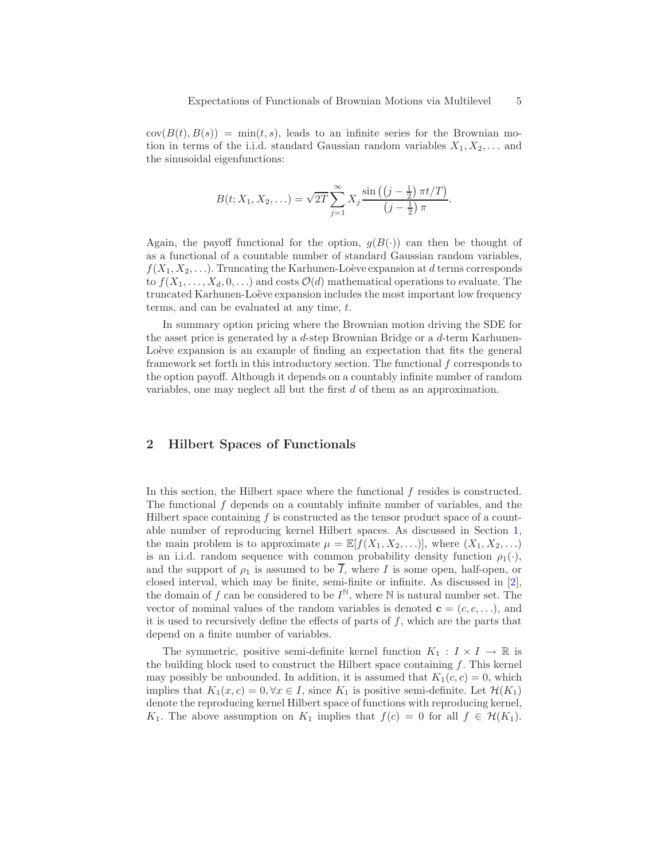$cov(B(t), B(s)) = min(t, s)$ , leads to an infinite series for the Brownian motion in terms of the i.i.d. standard Gaussian random variables  $X_1, X_2, \ldots$  and the sinusoidal eigenfunctions:

$$
B(t; X_1, X_2, \ldots) = \sqrt{2T} \sum_{j=1}^{\infty} X_j \frac{\sin ((j - \frac{1}{2}) \pi t / T)}{(j - \frac{1}{2}) \pi}.
$$

Again, the payoff functional for the option,  $g(B(\cdot))$  can then be thought of as a functional of a countable number of standard Gaussian random variables,  $f(X_1, X_2, \ldots)$ . Truncating the Karhunen-Loève expansion at d terms corresponds to  $f(X_1, \ldots, X_d, 0, \ldots)$  and costs  $\mathcal{O}(d)$  mathematical operations to evaluate. The truncated Karhunen-Loève expansion includes the most important low frequency terms, and can be evaluated at any time, t.

In summary option pricing where the Brownian motion driving the SDE for the asset price is generated by a  $d$ -step Brownian Bridge or a  $d$ -term Karhunen-Loève expansion is an example of finding an expectation that fits the general framework set forth in this introductory section. The functional f corresponds to the option payoff. Although it depends on a countably infinite number of random variables, one may neglect all but the first d of them as an approximation.

# <span id="page-4-0"></span>2 Hilbert Spaces of Functionals

In this section, the Hilbert space where the functional f resides is constructed. The functional f depends on a countably infinite number of variables, and the Hilbert space containing  $f$  is constructed as the tensor product space of a countable number of reproducing kernel Hilbert spaces. As discussed in Section [1,](#page-0-1) the main problem is to approximate  $\mu = \mathbb{E}[f(X_1, X_2, \ldots)],$  where  $(X_1, X_2, \ldots)$ is an i.i.d. random sequence with common probability density function  $\rho_1(\cdot)$ , and the support of  $\rho_1$  is assumed to be  $\overline{I}$ , where I is some open, half-open, or closed interval, which may be finite, semi-finite or infinite. As discussed in [\[2\]](#page-18-1), the domain of f can be considered to be  $I^{\mathbb{N}}$ , where  $\mathbb N$  is natural number set. The vector of nominal values of the random variables is denoted  $\mathbf{c} = (c, c, \ldots)$ , and it is used to recursively define the effects of parts of  $f$ , which are the parts that depend on a finite number of variables.

The symmetric, positive semi-definite kernel function  $K_1 : I \times I \to \mathbb{R}$  is the building block used to construct the Hilbert space containing  $f$ . This kernel may possibly be unbounded. In addition, it is assumed that  $K_1(c, c) = 0$ , which implies that  $K_1(x, c) = 0, \forall x \in I$ , since  $K_1$  is positive semi-definite. Let  $\mathcal{H}(K_1)$ denote the reproducing kernel Hilbert space of functions with reproducing kernel, K<sub>1</sub>. The above assumption on K<sub>1</sub> implies that  $f(c) = 0$  for all  $f \in H(K_1)$ .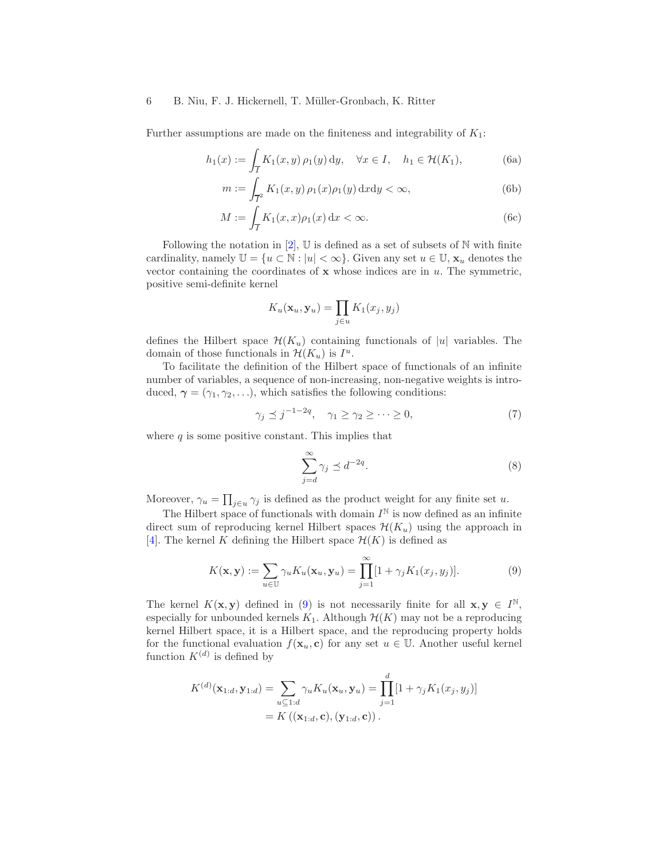Further assumptions are made on the finiteness and integrability of  $K_1$ :

$$
h_1(x) := \int_{\overline{I}} K_1(x, y) \, \rho_1(y) \, \mathrm{d}y, \quad \forall x \in I, \quad h_1 \in \mathcal{H}(K_1), \tag{6a}
$$

<span id="page-5-1"></span>
$$
m := \int_{\overline{I}^2} K_1(x, y) \, \rho_1(x) \rho_1(y) \, dx dy < \infty,\tag{6b}
$$

$$
M := \int_{\overline{I}} K_1(x, x)\rho_1(x) dx < \infty.
$$
 (6c)

Following the notation in  $[2]$ ,  $\mathbb U$  is defined as a set of subsets of  $\mathbb N$  with finite cardinality, namely  $\mathbb{U} = \{u \in \mathbb{N} : |u| < \infty\}$ . Given any set  $u \in \mathbb{U}$ ,  $\mathbf{x}_u$  denotes the vector containing the coordinates of  $x$  whose indices are in  $u$ . The symmetric, positive semi-definite kernel

$$
K_u(\mathbf{x}_u, \mathbf{y}_u) = \prod_{j \in u} K_1(x_j, y_j)
$$

defines the Hilbert space  $\mathcal{H}(K_u)$  containing functionals of |u| variables. The domain of those functionals in  $\mathcal{H}(K_u)$  is  $I^u$ .

To facilitate the definition of the Hilbert space of functionals of an infinite number of variables, a sequence of non-increasing, non-negative weights is introduced,  $\gamma = (\gamma_1, \gamma_2, \ldots)$ , which satisfies the following conditions:

<span id="page-5-3"></span>
$$
\gamma_j \preceq j^{-1-2q}, \quad \gamma_1 \ge \gamma_2 \ge \dots \ge 0,\tag{7}
$$

where  $q$  is some positive constant. This implies that

<span id="page-5-2"></span>
$$
\sum_{j=d}^{\infty} \gamma_j \preceq d^{-2q}.\tag{8}
$$

Moreover,  $\gamma_u = \prod_{j\in u} \gamma_j$  is defined as the product weight for any finite set u.

The Hilbert space of functionals with domain  $I^{\mathbb{N}}$  is now defined as an infinite direct sum of reproducing kernel Hilbert spaces  $\mathcal{H}(K_u)$  using the approach in [\[4\]](#page-18-3). The kernel K defining the Hilbert space  $\mathcal{H}(K)$  is defined as

<span id="page-5-0"></span>
$$
K(\mathbf{x}, \mathbf{y}) := \sum_{u \in \mathbb{U}} \gamma_u K_u(\mathbf{x}_u, \mathbf{y}_u) = \prod_{j=1}^{\infty} [1 + \gamma_j K_1(x_j, y_j)]. \tag{9}
$$

The kernel  $K(\mathbf{x}, \mathbf{y})$  defined in [\(9\)](#page-5-0) is not necessarily finite for all  $\mathbf{x}, \mathbf{y} \in I^{\mathbb{N}},$ especially for unbounded kernels  $K_1$ . Although  $\mathcal{H}(K)$  may not be a reproducing kernel Hilbert space, it is a Hilbert space, and the reproducing property holds for the functional evaluation  $f(\mathbf{x}_u, \mathbf{c})$  for any set  $u \in \mathbb{U}$ . Another useful kernel function  $K^{(d)}$  is defined by

$$
K^{(d)}(\mathbf{x}_{1:d}, \mathbf{y}_{1:d}) = \sum_{u \subseteq 1:d} \gamma_u K_u(\mathbf{x}_u, \mathbf{y}_u) = \prod_{j=1}^d [1 + \gamma_j K_1(x_j, y_j)]
$$
  
=  $K((\mathbf{x}_{1:d}, \mathbf{c}), (\mathbf{y}_{1:d}, \mathbf{c}))$ .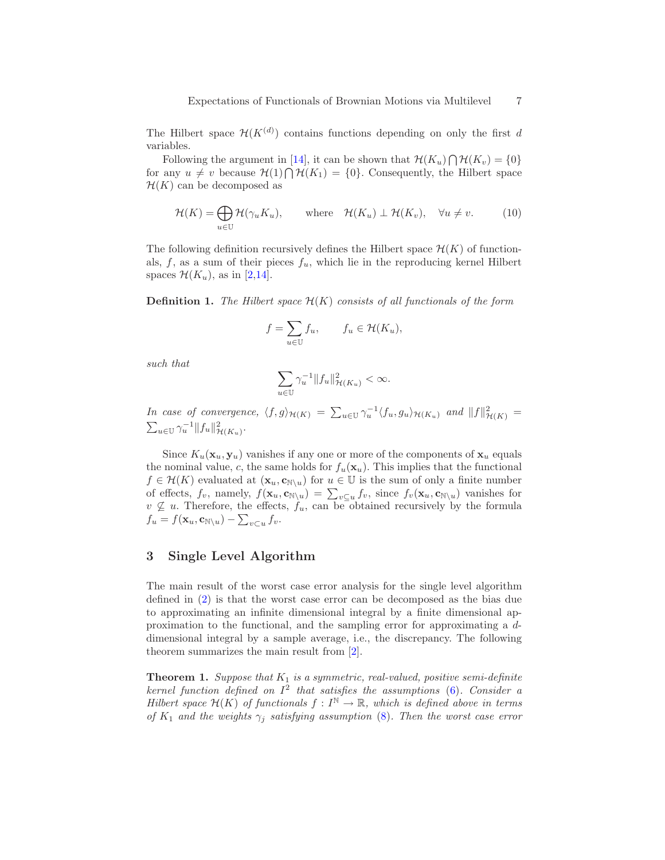The Hilbert space  $\mathcal{H}(K^{(d)})$  contains functions depending on only the first d variables.

Following the argument in [\[14\]](#page-18-13), it can be shown that  $\mathcal{H}(K_u) \bigcap \mathcal{H}(K_v) = \{0\}$ for any  $u \neq v$  because  $\mathcal{H}(1) \bigcap \mathcal{H}(K_1) = \{0\}$ . Consequently, the Hilbert space  $\mathcal{H}(K)$  can be decomposed as

<span id="page-6-2"></span>
$$
\mathcal{H}(K) = \bigoplus_{u \in \mathbb{U}} \mathcal{H}(\gamma_u K_u), \qquad \text{where} \quad \mathcal{H}(K_u) \perp \mathcal{H}(K_v), \quad \forall u \neq v. \tag{10}
$$

The following definition recursively defines the Hilbert space  $\mathcal{H}(K)$  of functionals,  $f$ , as a sum of their pieces  $f_u$ , which lie in the reproducing kernel Hilbert spaces  $\mathcal{H}(K_u)$ , as in [\[2,](#page-18-1)[14\]](#page-18-13).

<span id="page-6-1"></span>**Definition 1.** The Hilbert space  $\mathcal{H}(K)$  consists of all functionals of the form

$$
f = \sum_{u \in U} f_u, \qquad f_u \in \mathcal{H}(K_u),
$$

*such that*

$$
\sum_{u\in\mathbb{U}}\gamma_u^{-1}\|f_u\|^2_{\mathcal{H}(K_u)}<\infty.
$$

*In case of convergence,*  $\langle f, g \rangle_{\mathcal{H}(K)} = \sum_{u \in \mathbb{U}} \gamma_u^{-1} \langle f_u, g_u \rangle_{\mathcal{H}(K_u)}$  and  $||f||^2_{\mathcal{H}(K)} =$  $\sum_{u \in \mathbb{U}} \gamma_u^{-1} ||f_u||^2_{\mathcal{H}(K_u)}$ .

Since  $K_u(\mathbf{x}_u, \mathbf{y}_u)$  vanishes if any one or more of the components of  $\mathbf{x}_u$  equals the nominal value, c, the same holds for  $f_u(\mathbf{x}_u)$ . This implies that the functional  $f \in \mathcal{H}(K)$  evaluated at  $(\mathbf{x}_u, \mathbf{c}_{\mathbb{N}\setminus u})$  for  $u \in \mathbb{U}$  is the sum of only a finite number of effects,  $f_v$ , namely,  $f(\mathbf{x}_u, \mathbf{c}_{\mathbb{N}\setminus u}) = \sum_{v\subseteq u} f_v$ , since  $f_v(\mathbf{x}_u, \mathbf{c}_{\mathbb{N}\setminus u})$  vanishes for  $v \nsubseteq u$ . Therefore, the effects,  $f_u$ , can be obtained recursively by the formula  $f_u = f(\mathbf{x}_u, \mathbf{c}_{\mathbb{N}\setminus u}) - \sum_{v\subset u} f_v.$ 

# <span id="page-6-0"></span>3 Single Level Algorithm

The main result of the worst case error analysis for the single level algorithm defined in [\(2\)](#page-1-1) is that the worst case error can be decomposed as the bias due to approximating an infinite dimensional integral by a finite dimensional approximation to the functional, and the sampling error for approximating a ddimensional integral by a sample average, i.e., the discrepancy. The following theorem summarizes the main result from [\[2\]](#page-18-1).

<span id="page-6-3"></span>**Theorem 1.** Suppose that  $K_1$  is a symmetric, real-valued, positive semi-definite *kernel function defined on* I 2 *that satisfies the assumptions* [\(6\)](#page-5-1)*. Consider a Hilbert space*  $\mathcal{H}(K)$  *of functionals*  $f: I^{\mathbb{N}} \to \mathbb{R}$ *, which is defined above in terms of*  $K_1$  *and the weights*  $\gamma_j$  *satisfying assumption* [\(8\)](#page-5-2)*. Then the worst case error*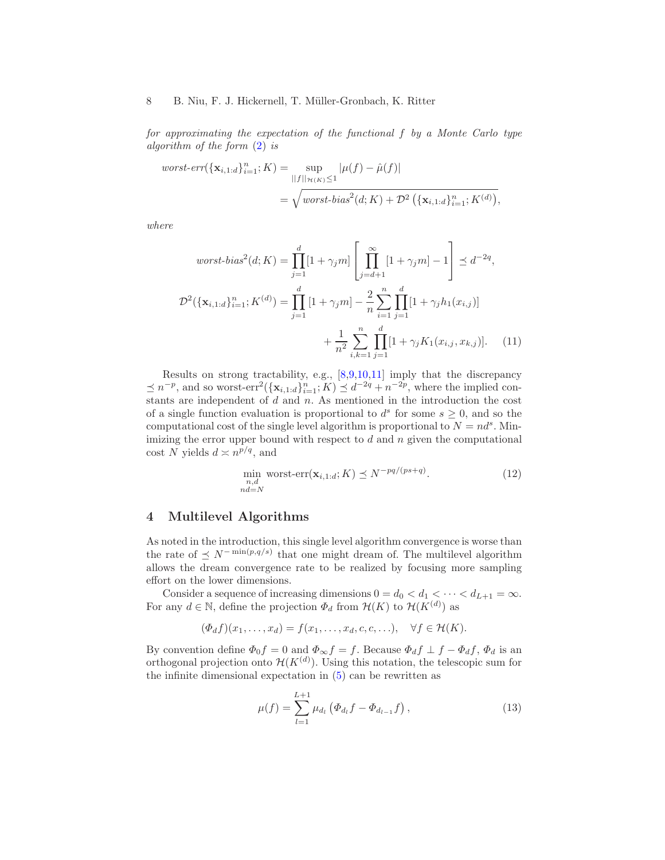*for approximating the expectation of the functional* f *by a Monte Carlo type algorithm of the form* [\(2\)](#page-1-1) *is*

$$
worst-err(\{\mathbf{x}_{i,1:d}\}_{i=1}^n; K) = \sup_{||f||_{\mathcal{H}(K)} \le 1} |\mu(f) - \hat{\mu}(f)|
$$
  
=  $\sqrt{worst-bias^2(d; K) + \mathcal{D}^2(\{\mathbf{x}_{i,1:d}\}_{i=1}^n; K^{(d)})},$ 

*where*

$$
worst-bias^{2}(d; K) = \prod_{j=1}^{d} [1 + \gamma_{j}m] \left[ \prod_{j=d+1}^{\infty} [1 + \gamma_{j}m] - 1 \right] \preceq d^{-2q},
$$
  

$$
\mathcal{D}^{2}(\{\mathbf{x}_{i,1:d}\}_{i=1}^{n}; K^{(d)}) = \prod_{j=1}^{d} [1 + \gamma_{j}m] - \frac{2}{n} \sum_{i=1}^{n} \prod_{j=1}^{d} [1 + \gamma_{j}h_{1}(x_{i,j})]
$$
  

$$
+ \frac{1}{n^{2}} \sum_{i,k=1}^{n} \prod_{j=1}^{d} [1 + \gamma_{j}K_{1}(x_{i,j}, x_{k,j})]. \quad (11)
$$

Results on strong tractability, e.g., [\[8,](#page-18-7)[9](#page-18-8)[,10,](#page-18-9)[11\]](#page-18-10) imply that the discrepancy  $\leq n^{-p}$ , and so worst-err<sup>2</sup> $(\{\mathbf{x}_{i,1:d}\}_{i=1}^n; K) \leq d^{-2q} + n^{-2p}$ , where the implied constants are independent of  $d$  and  $n$ . As mentioned in the introduction the cost of a single function evaluation is proportional to  $d^s$  for some  $s \geq 0$ , and so the computational cost of the single level algorithm is proportional to  $N = nd^s$ . Minimizing the error upper bound with respect to  $d$  and  $n$  given the computational cost N yields  $d \asymp n^{p/q}$ , and

<span id="page-7-3"></span><span id="page-7-2"></span>
$$
\min_{\substack{n,d\\nd=N}} \text{worst-err}(\mathbf{x}_{i,1:d}; K) \preceq N^{-pq/(ps+q)}.\tag{12}
$$

# <span id="page-7-0"></span>4 Multilevel Algorithms

As noted in the introduction, this single level algorithm convergence is worse than the rate of  $\leq N^{-\min(p,q/s)}$  that one might dream of. The multilevel algorithm allows the dream convergence rate to be realized by focusing more sampling effort on the lower dimensions.

Consider a sequence of increasing dimensions  $0 = d_0 < d_1 < \cdots < d_{L+1} = \infty$ . For any  $d \in \mathbb{N}$ , define the projection  $\Phi_d$  from  $\mathcal{H}(K)$  to  $\mathcal{H}(K^{(d)})$  as

$$
(\Phi_d f)(x_1,\ldots,x_d)=f(x_1,\ldots,x_d,c,c,\ldots), \quad \forall f\in \mathcal{H}(K).
$$

By convention define  $\Phi_0 f = 0$  and  $\Phi_\infty f = f$ . Because  $\Phi_d f \perp f - \Phi_d f$ ,  $\Phi_d$  is an orthogonal projection onto  $\mathcal{H}(K^{(d)})$ . Using this notation, the telescopic sum for the infinite dimensional expectation in [\(5\)](#page-2-0) can be rewritten as

<span id="page-7-1"></span>
$$
\mu(f) = \sum_{l=1}^{L+1} \mu_{d_l} \left( \Phi_{d_l} f - \Phi_{d_{l-1}} f \right), \qquad (13)
$$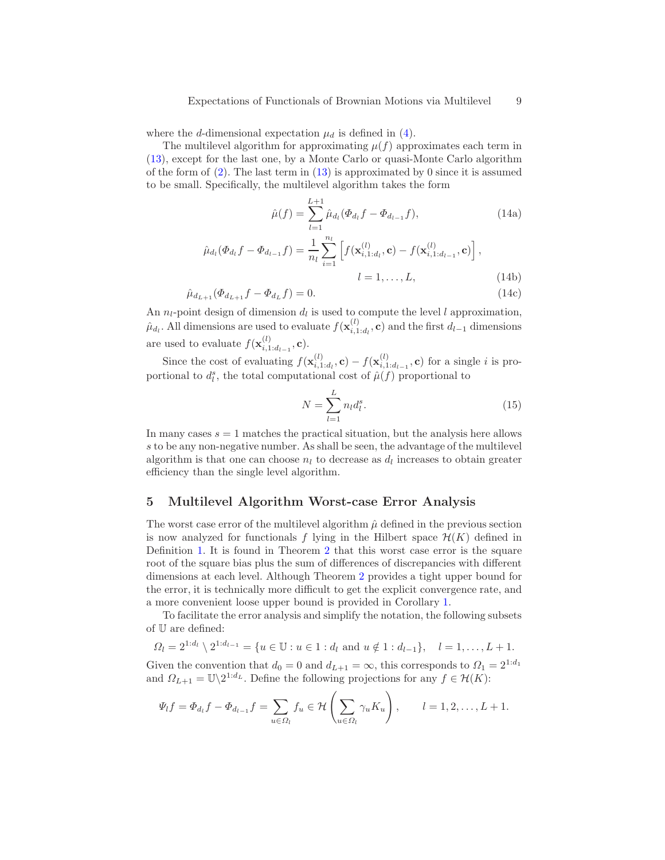where the d-dimensional expectation  $\mu_d$  is defined in [\(4\)](#page-1-2).

The multilevel algorithm for approximating  $\mu(f)$  approximates each term in [\(13\)](#page-7-1), except for the last one, by a Monte Carlo or quasi-Monte Carlo algorithm of the form of  $(2)$ . The last term in  $(13)$  is approximated by 0 since it is assumed to be small. Specifically, the multilevel algorithm takes the form

<span id="page-8-0"></span>
$$
\hat{\mu}(f) = \sum_{l=1}^{L+1} \hat{\mu}_{d_l} (\Phi_{d_l} f - \Phi_{d_{l-1}} f), \qquad (14a)
$$

$$
\hat{\mu}_{d_l}(\Phi_{d_l}f - \Phi_{d_{l-1}}f) = \frac{1}{n_l} \sum_{i=1}^{n_l} \left[ f(\mathbf{x}_{i,1:d_l}^{(l)}, \mathbf{c}) - f(\mathbf{x}_{i,1:d_{l-1}}^{(l)}, \mathbf{c}) \right],
$$
\n
$$
l = 1, \dots, L,
$$
\n(14b)

$$
\hat{\mu}_{d_{L+1}}(\Phi_{d_{L+1}}f - \Phi_{d_L}f) = 0.
$$
\n(14c)

An  $n_l$ -point design of dimension  $d_l$  is used to compute the level l approximation,  $\hat{\mu}_{d_l}$ . All dimensions are used to evaluate  $f(\mathbf{x}_{i,1}^{(l)})$  $i_{i,1:d_l}^{(l)}$ , c) and the first  $d_{l-1}$  dimensions are used to evaluate  $f(\mathbf{x}_{i,1}^{(l)})$  $_{i,1:d_{l-1}}^{(l)}$ , **c**).

Since the cost of evaluating  $f(\mathbf{x}_{i}^{(l)})$  $\epsilon_{i,1:d_l}^{(l)}, \mathbf{c}) - f(\mathbf{x}_{i,1}^{(l)})$  $i_{i,1:d_{l-1}}^{(i)}$ , c) for a single i is proportional to  $d_l^s$ , the total computational cost of  $\hat{\mu}(f)$  proportional to

<span id="page-8-2"></span>
$$
N = \sum_{l=1}^{L} n_l d_l^s.
$$
 (15)

In many cases  $s = 1$  matches the practical situation, but the analysis here allows s to be any non-negative number. As shall be seen, the advantage of the multilevel algorithm is that one can choose  $n_l$  to decrease as  $d_l$  increases to obtain greater efficiency than the single level algorithm.

## <span id="page-8-1"></span>5 Multilevel Algorithm Worst-case Error Analysis

The worst case error of the multilevel algorithm  $\hat{\mu}$  defined in the previous section is now analyzed for functionals f lying in the Hilbert space  $\mathcal{H}(K)$  defined in Definition [1.](#page-6-1) It is found in Theorem [2](#page-10-0) that this worst case error is the square root of the square bias plus the sum of differences of discrepancies with different dimensions at each level. Although Theorem [2](#page-10-0) provides a tight upper bound for the error, it is technically more difficult to get the explicit convergence rate, and a more convenient loose upper bound is provided in Corollary [1.](#page-11-0)

To facilitate the error analysis and simplify the notation, the following subsets of U are defined:

$$
\Omega_l = 2^{1:d_l} \setminus 2^{1:d_{l-1}} = \{ u \in \mathbb{U} : u \in 1 : d_l \text{ and } u \notin 1 : d_{l-1} \}, \quad l = 1, \dots, L+1.
$$

Given the convention that  $d_0 = 0$  and  $d_{L+1} = \infty$ , this corresponds to  $\Omega_1 = 2^{1:d_1}$ and  $\Omega_{L+1} = \mathbb{U}\backslash 2^{1:d_L}$ . Define the following projections for any  $f \in \mathcal{H}(K)$ :

$$
\Psi_l f = \Phi_{d_l} f - \Phi_{d_{l-1}} f = \sum_{u \in \Omega_l} f_u \in \mathcal{H}\left(\sum_{u \in \Omega_l} \gamma_u K_u\right), \qquad l = 1, 2, \dots, L+1.
$$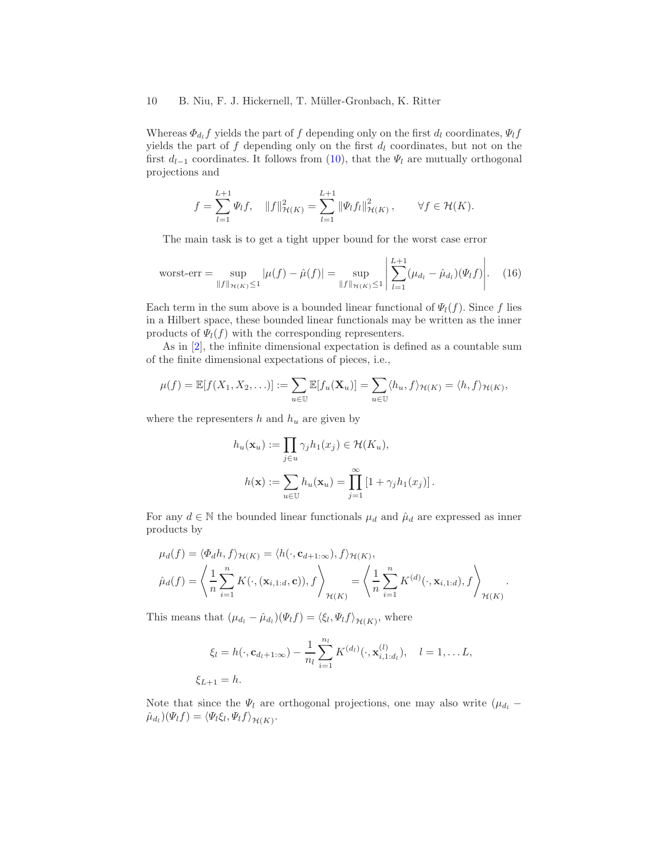Whereas  $\Phi_{d_l} f$  yields the part of f depending only on the first  $d_l$  coordinates,  $\Psi_l f$ yields the part of  $f$  depending only on the first  $d_l$  coordinates, but not on the first  $d_{l-1}$  coordinates. It follows from [\(10\)](#page-6-2), that the  $\Psi_l$  are mutually orthogonal projections and

$$
f = \sum_{l=1}^{L+1} \Psi_l f, \quad ||f||^2_{\mathcal{H}(K)} = \sum_{l=1}^{L+1} ||\Psi_l f_l||^2_{\mathcal{H}(K)}, \qquad \forall f \in \mathcal{H}(K).
$$

The main task is to get a tight upper bound for the worst case error

<span id="page-9-0"></span>
$$
\text{worst-err} = \sup_{\|f\|_{\mathcal{H}(K)} \le 1} |\mu(f) - \hat{\mu}(f)| = \sup_{\|f\|_{\mathcal{H}(K)} \le 1} \left| \sum_{l=1}^{L+1} (\mu_{d_l} - \hat{\mu}_{d_l})(\Psi_l f) \right|.
$$
 (16)

Each term in the sum above is a bounded linear functional of  $\Psi_l(f)$ . Since f lies in a Hilbert space, these bounded linear functionals may be written as the inner products of  $\Psi_l(f)$  with the corresponding representers.

As in [\[2\]](#page-18-1), the infinite dimensional expectation is defined as a countable sum of the finite dimensional expectations of pieces, i.e.,

$$
\mu(f) = \mathbb{E}[f(X_1, X_2, \ldots)] := \sum_{u \in \mathbb{U}} \mathbb{E}[f_u(\mathbf{X}_u)] = \sum_{u \in \mathbb{U}} \langle h_u, f \rangle_{\mathcal{H}(K)} = \langle h, f \rangle_{\mathcal{H}(K)},
$$

where the representers  $h$  and  $h_u$  are given by

$$
h_u(\mathbf{x}_u) := \prod_{j \in u} \gamma_j h_1(x_j) \in \mathcal{H}(K_u),
$$
  

$$
h(\mathbf{x}) := \sum_{u \in U} h_u(\mathbf{x}_u) = \prod_{j=1}^{\infty} \left[1 + \gamma_j h_1(x_j)\right].
$$

For any  $d \in \mathbb{N}$  the bounded linear functionals  $\mu_d$  and  $\hat{\mu}_d$  are expressed as inner products by

$$
\mu_d(f) = \langle \Phi_d h, f \rangle_{\mathcal{H}(K)} = \langle h(\cdot, \mathbf{c}_{d+1:\infty}), f \rangle_{\mathcal{H}(K)},
$$
  

$$
\hat{\mu}_d(f) = \left\langle \frac{1}{n} \sum_{i=1}^n K(\cdot, (\mathbf{x}_{i,1:d}, \mathbf{c})), f \right\rangle_{\mathcal{H}(K)} = \left\langle \frac{1}{n} \sum_{i=1}^n K^{(d)}(\cdot, \mathbf{x}_{i,1:d}), f \right\rangle_{\mathcal{H}(K)}.
$$

This means that  $(\mu_{d_l} - \hat{\mu}_{d_l})(\Psi_l f) = \langle \xi_l, \Psi_l f \rangle_{\mathcal{H}(K)}$ , where

$$
\xi_l = h(\cdot, \mathbf{c}_{d_l+1:\infty}) - \frac{1}{n_l} \sum_{i=1}^{n_l} K^{(d_l)}(\cdot, \mathbf{x}_{i,1:d_l}^{(l)}), \quad l = 1, \dots L,
$$
  

$$
\xi_{L+1} = h.
$$

Note that since the  $\Psi_l$  are orthogonal projections, one may also write  $(\mu_{d_l}$  −  $(\hat{\mu}_{d_l})(\Psi_l f) = \langle \Psi_l \xi_l, \Psi_l f \rangle_{\mathcal{H}(K)}.$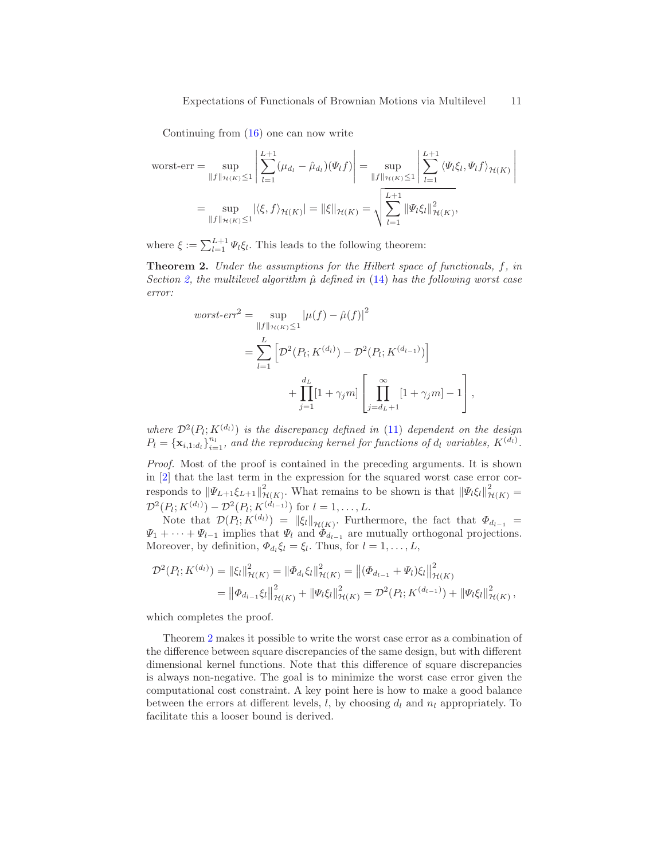Continuing from [\(16\)](#page-9-0) one can now write

$$
\text{worst-err} = \sup_{\|f\|_{\mathcal{H}(K)} \le 1} \left| \sum_{l=1}^{L+1} (\mu_{d_l} - \hat{\mu}_{d_l})(\Psi_l f) \right| = \sup_{\|f\|_{\mathcal{H}(K)} \le 1} \left| \sum_{l=1}^{L+1} \langle \Psi_l \xi_l, \Psi_l f \rangle_{\mathcal{H}(K)} \right|
$$

$$
= \sup_{\|f\|_{\mathcal{H}(K)} \le 1} |\langle \xi, f \rangle_{\mathcal{H}(K)}| = \|\xi\|_{\mathcal{H}(K)} = \sqrt{\sum_{l=1}^{L+1} \|\Psi_l \xi_l\|_{\mathcal{H}(K)}^2},
$$

<span id="page-10-0"></span>where  $\xi := \sum_{l=1}^{L+1} \Psi_l \xi_l$ . This leads to the following theorem:

Theorem 2. *Under the assumptions for the Hilbert space of functionals,* f*, in Section* [2,](#page-4-0) the multilevel algorithm  $\hat{\mu}$  defined in [\(14\)](#page-8-0) has the following worst case *error:*

$$
worst-err^{2} = \sup_{\|f\|_{\mathcal{H}(K)} \leq 1} |\mu(f) - \hat{\mu}(f)|^{2}
$$
  
= 
$$
\sum_{l=1}^{L} \left[ \mathcal{D}^{2}(P_{l}; K^{(d_{l})}) - \mathcal{D}^{2}(P_{l}; K^{(d_{l-1})}) \right]
$$
  
+ 
$$
\prod_{j=1}^{d_{L}} [1 + \gamma_{j} m] \left[ \prod_{j=d_{L}+1}^{\infty} [1 + \gamma_{j} m] - 1 \right],
$$

where  $\mathcal{D}^2(P_i; K^{(d_l)})$  is the discrepancy defined in [\(11\)](#page-7-2) dependent on the design  $P_l = {\mathbf{x}_{i,1:d_l}}_{i=1}^{n_l}$ , and the reproducing kernel for functions of  $d_l$  variables,  $K^{(\tilde{d_l})}$ .

*Proof.* Most of the proof is contained in the preceding arguments. It is shown in [\[2\]](#page-18-1) that the last term in the expression for the squared worst case error corresponds to  $\|\Psi_{L+1}\xi_{L+1}\|_{p}^2$  $\mathcal{H}(K)$ . What remains to be shown is that  $\|\Psi_l \xi_l\|_{\mathcal{H}(K)}^2 =$  $\mathcal{D}^2(P_l; K^{(d_l)}) - \mathcal{D}^2(P_l; K^{(d_{l-1})})$  for  $l = 1, ..., L$ .

Note that  $\mathcal{D}(P_l; K^{(d_l)}) = ||\xi_l||_{\mathcal{H}(K)}$ . Furthermore, the fact that  $\Phi_{d_{l-1}} =$  $\Psi_1 + \cdots + \Psi_{l-1}$  implies that  $\Psi_l$  and  $\Phi_{d_{l-1}}$  are mutually orthogonal projections. Moreover, by definition,  $\Phi_{d_l} \xi_l = \xi_l$ . Thus, for  $l = 1, ..., L$ ,

$$
\mathcal{D}^{2}(P_{i}; K^{(d_{l})}) = \|\xi_{l}\|_{\mathcal{H}(K)}^{2} = \|\Phi_{d_{l}}\xi_{l}\|_{\mathcal{H}(K)}^{2} = \left\|(\Phi_{d_{l-1}} + \Psi_{l})\xi_{l}\right\|_{\mathcal{H}(K)}^{2}
$$

$$
= \left\|\Phi_{d_{l-1}}\xi_{l}\right\|_{\mathcal{H}(K)}^{2} + \left\|\Psi_{l}\xi_{l}\right\|_{\mathcal{H}(K)}^{2} = \mathcal{D}^{2}(P_{i}; K^{(d_{l-1})}) + \left\|\Psi_{l}\xi_{l}\right\|_{\mathcal{H}(K)}^{2},
$$

which completes the proof.

Theorem [2](#page-10-0) makes it possible to write the worst case error as a combination of the difference between square discrepancies of the same design, but with different dimensional kernel functions. Note that this difference of square discrepancies is always non-negative. The goal is to minimize the worst case error given the computational cost constraint. A key point here is how to make a good balance between the errors at different levels,  $l$ , by choosing  $d_l$  and  $n_l$  appropriately. To facilitate this a looser bound is derived.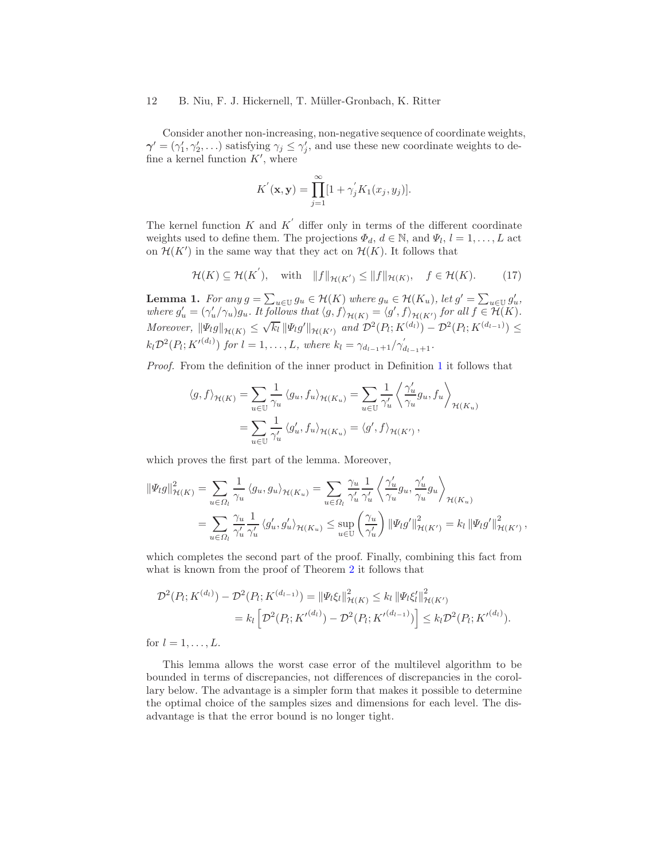Consider another non-increasing, non-negative sequence of coordinate weights,  $\gamma' = (\gamma_1', \gamma_2', \ldots)$  satisfying  $\gamma_j \leq \gamma_j'$ , and use these new coordinate weights to define a kernel function  $K'$ , where

$$
K^{'}(\mathbf{x}, \mathbf{y}) = \prod_{j=1}^{\infty} [1 + \gamma_{j}^{'} K_{1}(x_{j}, y_{j})].
$$

The kernel function  $K$  and  $K'$  differ only in terms of the different coordinate weights used to define them. The projections  $\Phi_d$ ,  $d \in \mathbb{N}$ , and  $\Psi_l$ ,  $l = 1, \ldots, L$  act on  $\mathcal{H}(K')$  in the same way that they act on  $\mathcal{H}(K)$ . It follows that

$$
\mathcal{H}(K) \subseteq \mathcal{H}(K'), \quad \text{with} \quad \|f\|_{\mathcal{H}(K')} \le \|f\|_{\mathcal{H}(K)}, \quad f \in \mathcal{H}(K). \tag{17}
$$

**Lemma 1.** For any  $g = \sum_{u \in U} g_u \in \mathcal{H}(K)$  where  $g_u \in \mathcal{H}(K_u)$ , let  $g' = \sum_{u \in U} g'_u$ , where  $g'_u = (\gamma'_u/\gamma_u)g_u$ . It follows that  $\langle g, f \rangle_{\mathcal{H}(K)} = \langle g', f \rangle_{\mathcal{H}(K')}$  for all  $f \in \tilde{\mathcal{H}}(K)$ . *Moreover,*  $\|\Psi_l g\|_{\mathcal{H}(K)} \leq \sqrt{k_l} \|\Psi_l g'\|_{\mathcal{H}(K')}$  and  $\mathcal{D}^2(P_l; K^{(d_l)}) - \mathcal{D}^2(P_l; K^{(d_{l-1})}) \leq$  $k_l \mathcal{D}^2(P_l; K'^{(d_l)})$  *for*  $l = 1, ..., L$ *, where*  $k_l = \gamma_{d_{l-1}+1}/\gamma'_{d_{l-1}+1}$ *.* 

*Proof.* From the definition of the inner product in Definition [1](#page-6-1) it follows that

$$
\langle g, f \rangle_{\mathcal{H}(K)} = \sum_{u \in \mathbb{U}} \frac{1}{\gamma_u} \langle g_u, f_u \rangle_{\mathcal{H}(K_u)} = \sum_{u \in \mathbb{U}} \frac{1}{\gamma_u'} \left\langle \frac{\gamma_u'}{\gamma_u} g_u, f_u \right\rangle_{\mathcal{H}(K_u)}
$$

$$
= \sum_{u \in \mathbb{U}} \frac{1}{\gamma_u'} \langle g_u', f_u \rangle_{\mathcal{H}(K_u)} = \langle g', f \rangle_{\mathcal{H}(K')} ,
$$

which proves the first part of the lemma. Moreover,

$$
\|\Psi_{l}g\|_{\mathcal{H}(K)}^{2} = \sum_{u \in \Omega_{l}} \frac{1}{\gamma_{u}} \left\langle g_{u}, g_{u} \right\rangle_{\mathcal{H}(K_{u})} = \sum_{u \in \Omega_{l}} \frac{\gamma_{u}}{\gamma_{u}'} \frac{1}{\gamma_{u}'} \left\langle \frac{\gamma_{u}'}{\gamma_{u}} g_{u}, \frac{\gamma_{u}'}{\gamma_{u}} g_{u} \right\rangle_{\mathcal{H}(K_{u})}
$$
  

$$
= \sum_{u \in \Omega_{l}} \frac{\gamma_{u}}{\gamma_{u}'} \frac{1}{\gamma_{u}'} \left\langle g_{u}', g_{u}' \right\rangle_{\mathcal{H}(K_{u})} \leq \sup_{u \in \mathbb{U}} \left(\frac{\gamma_{u}}{\gamma_{u}'}\right) \|\Psi_{l}g'\|_{\mathcal{H}(K')}^{2} = k_{l} \|\Psi_{l}g'\|_{\mathcal{H}(K')}^{2},
$$

which completes the second part of the proof. Finally, combining this fact from what is known from the proof of Theorem [2](#page-10-0) it follows that

$$
\mathcal{D}^{2}(P_{l}; K^{(d_{l})}) - \mathcal{D}^{2}(P_{l}; K^{(d_{l-1})}) = \|\Psi_{l}\xi_{l}\|_{\mathcal{H}(K)}^{2} \leq k_{l} \|\Psi_{l}\xi_{l}'\|_{\mathcal{H}(K')}^{2}
$$

$$
= k_{l} \left[ \mathcal{D}^{2}(P_{l}; K^{\prime}}^{(d_{l})}) - \mathcal{D}^{2}(P_{l}; K^{\prime}}^{(d_{l-1})}) \right] \leq k_{l} \mathcal{D}^{2}(P_{l}; K^{\prime}}^{(d_{l})}).
$$

for  $l = 1, \ldots, L$ .

<span id="page-11-0"></span>This lemma allows the worst case error of the multilevel algorithm to be bounded in terms of discrepancies, not differences of discrepancies in the corollary below. The advantage is a simpler form that makes it possible to determine the optimal choice of the samples sizes and dimensions for each level. The disadvantage is that the error bound is no longer tight.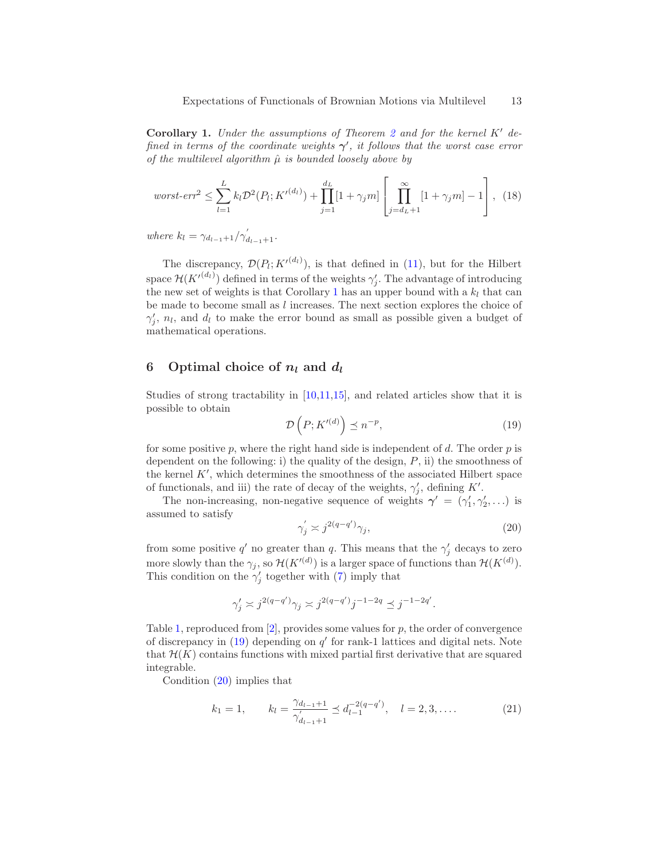Corollary 1. *Under the assumptions of Theorem [2](#page-10-0) and for the kernel* K′ *defined in terms of the coordinate weights*  $\gamma'$ , *it follows that the worst case error of the multilevel algorithm*  $\hat{\mu}$  *is bounded loosely above by* 

<span id="page-12-3"></span>
$$
worst-err^{2} \leq \sum_{l=1}^{L} k_{l} \mathcal{D}^{2}(P_{l}; K^{\prime (d_{l})}) + \prod_{j=1}^{d_{L}} [1 + \gamma_{j} m] \left[ \prod_{j=d_{L}+1}^{\infty} [1 + \gamma_{j} m] - 1 \right], \tag{18}
$$

*where*  $k_l = \gamma_{d_{l-1}+1}/\gamma'_{d_{l-1}+1}$ .

The discrepancy,  $\mathcal{D}(P_i; K^{\prime(d_i)})$ , is that defined in [\(11\)](#page-7-2), but for the Hilbert space  $\mathcal{H}(K'^{(d_l)})$  defined in terms of the weights  $\gamma'_j$ . The advantage of introducing the new set of weights is that Corollary [1](#page-11-0) has an upper bound with a  $k_l$  that can be made to become small as l increases. The next section explores the choice of  $\gamma'_j$ ,  $n_l$ , and  $d_l$  to make the error bound as small as possible given a budget of mathematical operations.

# <span id="page-12-0"></span>6 Optimal choice of  $n_l$  and  $d_l$

Studies of strong tractability in [\[10](#page-18-9)[,11](#page-18-10)[,15\]](#page-18-14), and related articles show that it is possible to obtain

<span id="page-12-1"></span>
$$
\mathcal{D}\left(P;K'^{(d)}\right) \preceq n^{-p},\tag{19}
$$

for some positive  $p$ , where the right hand side is independent of  $d$ . The order  $p$  is dependent on the following: i) the quality of the design,  $P$ , ii) the smoothness of the kernel  $K'$ , which determines the smoothness of the associated Hilbert space of functionals, and iii) the rate of decay of the weights,  $\gamma'_j$ , defining K'.

The non-increasing, non-negative sequence of weights  $\gamma' = (\gamma'_1, \gamma'_2, \ldots)$  is assumed to satisfy

<span id="page-12-2"></span>
$$
\gamma_j' \asymp j^{2(q-q')}\gamma_j,\tag{20}
$$

from some positive  $q'$  no greater than q. This means that the  $\gamma'_j$  decays to zero more slowly than the  $\gamma_j$ , so  $\mathcal{H}(K'^{(d)})$  is a larger space of functions than  $\mathcal{H}(K^{(d)})$ . This condition on the  $\gamma'_j$  together with [\(7\)](#page-5-3) imply that

$$
\gamma'_j \asymp j^{2(q-q')}\gamma_j \asymp j^{2(q-q')}j^{-1-2q} \preceq j^{-1-2q'}.
$$

Table [1,](#page-13-0) reproduced from  $[2]$ , provides some values for  $p$ , the order of convergence of discrepancy in  $(19)$  depending on  $q'$  for rank-1 lattices and digital nets. Note that  $\mathcal{H}(K)$  contains functions with mixed partial first derivative that are squared integrable.

Condition [\(20\)](#page-12-2) implies that

$$
k_1 = 1, \qquad k_l = \frac{\gamma_{d_{l-1}+1}}{\gamma'_{d_{l-1}+1}} \preceq d_{l-1}^{-2(q-q')}, \quad l = 2, 3, .... \tag{21}
$$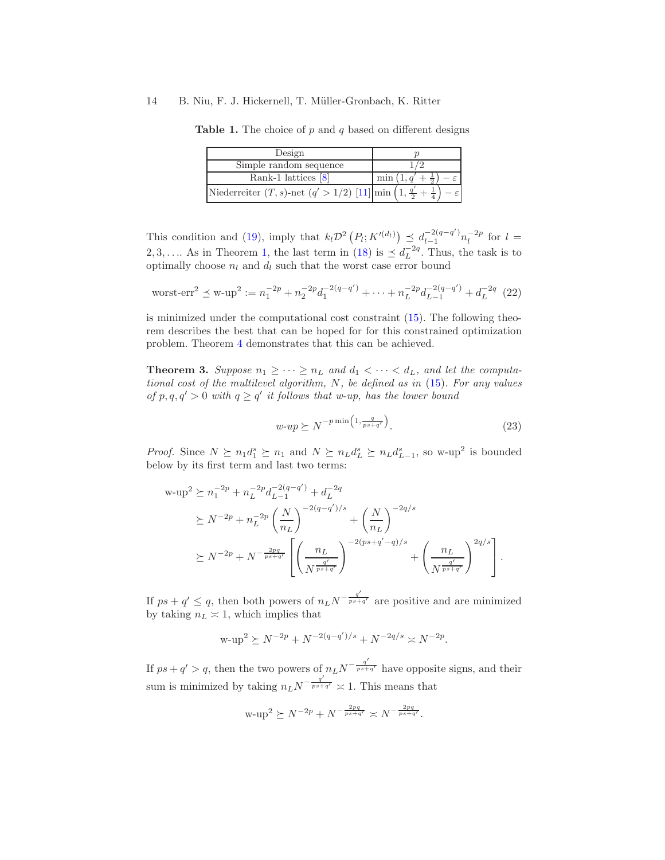<span id="page-13-0"></span>Design Simple random sequence  $1/2$  $Rank-1$  lattices  $[8]$  $1, q' + \frac{1}{2}$ − ε Niederreiter  $(T, s)$ -net  $(q' > 1/2)$  [\[11\]](#page-18-10) min  $\left($ 1, q ′  $\frac{1}{2}$  + 1 4  $\setminus$ − ε

**Table 1.** The choice of  $p$  and  $q$  based on different designs

This condition and [\(19\)](#page-12-1), imply that  $k_l \mathcal{D}^2(P_l; K'^{(d_l)}) \preceq d_{l-1}^{-2(q-q')}$  $\frac{-2(q-q')}{n_l^{-2p}}$  for  $l =$ 2, 3, ... As in Theorem [1,](#page-6-3) the last term in [\(18\)](#page-12-3) is  $\leq d^{-2q}_L$ . Thus, the task is to optimally choose  $n_l$  and  $d_l$  such that the worst case error bound

worst-err<sup>2</sup> 
$$
\preceq
$$
 w-up<sup>2</sup> :=  $n_1^{-2p} + n_2^{-2p} d_1^{-2(q-q')} + \cdots + n_L^{-2p} d_{L-1}^{-2(q-q')} + d_L^{-2q}$  (22)

is minimized under the computational cost constraint [\(15\)](#page-8-2). The following theorem describes the best that can be hoped for for this constrained optimization problem. Theorem [4](#page-14-0) demonstrates that this can be achieved.

<span id="page-13-1"></span>**Theorem 3.** Suppose  $n_1 \geq \cdots \geq n_L$  and  $d_1 < \cdots < d_L$ , and let the computa*tional cost of the multilevel algorithm,* N*, be defined as in* [\(15\)](#page-8-2)*. For any values of*  $p, q, q' > 0$  *with*  $q \ge q'$  *it follows that w-up, has the lower bound* 

$$
w \tildot w \succeq N^{-p \min\left(1, \frac{q}{ps+q'}\right)}.
$$
\n
$$
(23)
$$

*Proof.* Since  $N \succeq n_1 d_1^s \succeq n_1$  and  $N \succeq n_L d_L^s \succeq n_L d_{L-1}^s$ , so w-up<sup>2</sup> is bounded below by its first term and last two terms:

$$
w-up2 \ge n_1^{-2p} + n_L^{-2p} d_{L-1}^{-2(q-q')} + d_L^{-2q}
$$
  
\n
$$
\ge N^{-2p} + n_L^{-2p} \left(\frac{N}{n_L}\right)^{-2(q-q')/s} + \left(\frac{N}{n_L}\right)^{-2q/s}
$$
  
\n
$$
\ge N^{-2p} + N^{-\frac{2pq}{ps+q'}} \left[ \left(\frac{n_L}{N^{\frac{q'}{ps+q'}}}\right)^{-2(ps+q'-q)/s} + \left(\frac{n_L}{N^{\frac{q'}{ps+q'}}}\right)^{2q/s} \right].
$$

If  $ps + q' \leq q$ , then both powers of  $n_L N^{-\frac{q'}{ps+q'}}$  are positive and are minimized by taking  $n_L \approx 1$ , which implies that

$$
\text{w-up}^2 \succeq N^{-2p} + N^{-2(q-q')/s} + N^{-2q/s} \asymp N^{-2p}.
$$

If  $ps + q' > q$ , then the two powers of  $n_L N^{-\frac{q'}{ps + q'}}$  have opposite signs, and their sum is minimized by taking  $n_L N^{-\frac{q'}{ps+q'}} \approx 1$ . This means that

$$
\text{w-up}^2 \succeq N^{-2p} + N^{-\frac{2pq}{ps+q'}} \asymp N^{-\frac{2pq}{ps+q'}}.
$$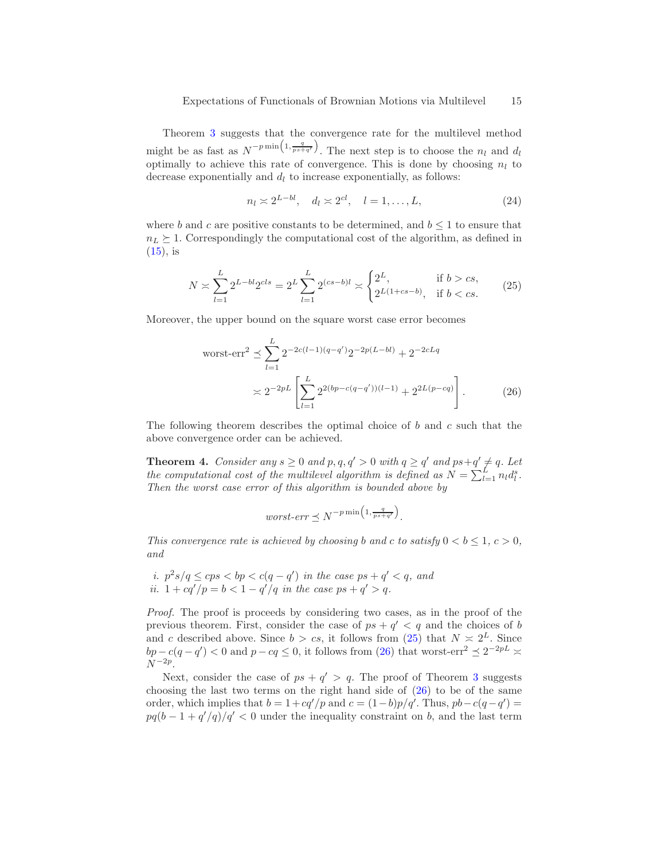Theorem [3](#page-13-1) suggests that the convergence rate for the multilevel method might be as fast as  $N^{-p \min\left(1, \frac{q}{ps+q'}\right)}$ . The next step is to choose the  $n_l$  and  $d_l$ optimally to achieve this rate of convergence. This is done by choosing  $n_l$  to decrease exponentially and  $d_l$  to increase exponentially, as follows:

$$
n_l \approx 2^{L-bl}, \quad d_l \approx 2^{cl}, \quad l = 1, \dots, L,\tag{24}
$$

where b and c are positive constants to be determined, and  $b \leq 1$  to ensure that  $n_L \geq 1$ . Correspondingly the computational cost of the algorithm, as defined in  $(15)$ , is

<span id="page-14-1"></span>
$$
N \asymp \sum_{l=1}^{L} 2^{L-bl} 2^{cls} = 2^{L} \sum_{l=1}^{L} 2^{(cs-b)l} \asymp \begin{cases} 2^{L}, & \text{if } b > cs, \\ 2^{L(1+cs-b)}, & \text{if } b < cs. \end{cases} \tag{25}
$$

Moreover, the upper bound on the square worst case error becomes

$$
\text{worst-err}^2 \preceq \sum_{l=1}^{L} 2^{-2c(l-1)(q-q')} 2^{-2p(L-bl)} + 2^{-2cLq}
$$
\n
$$
\asymp 2^{-2p} \left[ \sum_{l=1}^{L} 2^{2(bp - c(q - q'))(l-1)} + 2^{2L(p - cq)} \right]. \tag{26}
$$

<span id="page-14-0"></span>The following theorem describes the optimal choice of b and c such that the above convergence order can be achieved.

**Theorem 4.** *Consider any*  $s \geq 0$  *and*  $p, q, q' > 0$  *with*  $q \geq q'$  *and*  $ps + q' \neq q$ *. Let the computational cost of the multilevel algorithm is defined as*  $N = \sum_{l=1}^{L} n_l d_l^s$ . *Then the worst case error of this algorithm is bounded above by*

<span id="page-14-2"></span>*worst-err* 
$$
\leq N^{-p \min(1, \frac{q}{ps+q'})}
$$
.

*This convergence rate is achieved by choosing b and c to satisfy*  $0 < b \le 1$ ,  $c > 0$ , *and*

*i.*  $p^2 s / q \leq cps < bp < c(q - q')$  *in the case*  $ps + q' < q$ *, and ii.*  $1 + cq'/p = b < 1 - q'/q$  *in the case*  $ps + q' > q$ .

*Proof.* The proof is proceeds by considering two cases, as in the proof of the previous theorem. First, consider the case of  $ps + q' < q$  and the choices of b and c described above. Since  $b > cs$ , it follows from [\(25\)](#page-14-1) that  $N \geq 2^L$ . Since  $bp - c(q - q') < 0$  and  $p - cq \le 0$ , it follows from [\(26\)](#page-14-2) that worst-err<sup>2</sup>  $\preceq 2^{-2pL} \asymp$  $N^{-2p}$ .

Next, consider the case of  $ps + q' > q$ . The proof of Theorem [3](#page-13-1) suggests choosing the last two terms on the right hand side of  $(26)$  to be of the same order, which implies that  $b = 1 + cq'/p$  and  $c = (1-b)p/q'$ . Thus,  $pb - c(q-q') =$  $pq(b-1+q'/q)/q' < 0$  under the inequality constraint on b, and the last term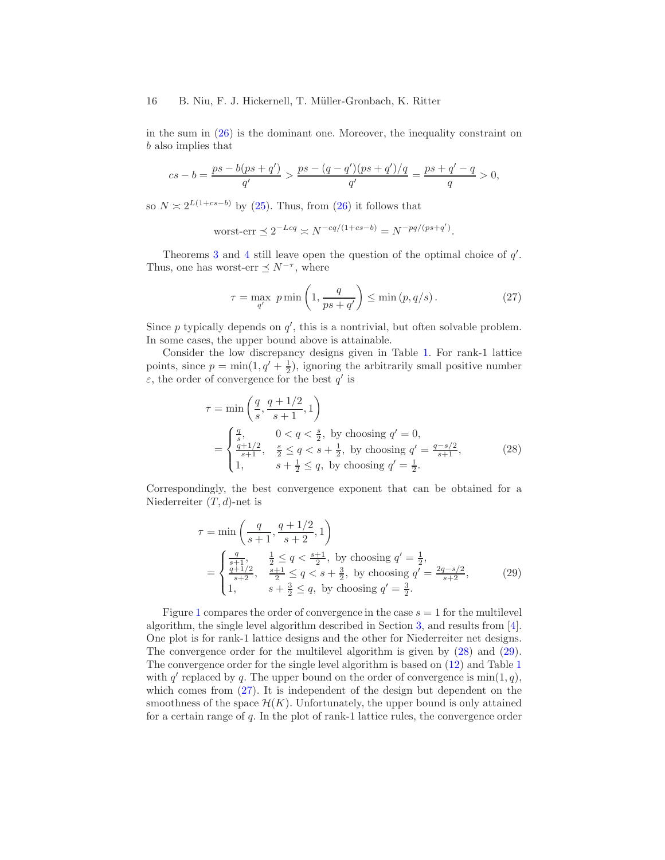in the sum in  $(26)$  is the dominant one. Moreover, the inequality constraint on b also implies that

$$
cs - b = \frac{ps - b(ps + q')}{q'} > \frac{ps - (q - q')(ps + q')/q}{q'} = \frac{ps + q' - q}{q} > 0,
$$

so  $N \approx 2^{L(1+cs-b)}$  by [\(25\)](#page-14-1). Thus, from [\(26\)](#page-14-2) it follows that

$$
\text{worst-err} \preceq 2^{-Lcq} \asymp N^{-cq/(1+cs-b)} = N^{-pq/(ps+q')}
$$

Theorems [3](#page-13-1) and [4](#page-14-0) still leave open the question of the optimal choice of  $q'$ . Thus, one has worst-err  $\leq N^{-\tau}$ , where

<span id="page-15-2"></span>
$$
\tau = \max_{q'} \ p \min\left(1, \frac{q}{ps + q'}\right) \le \min\left(p, q/s\right). \tag{27}
$$

<span id="page-15-0"></span>.

Since  $p$  typically depends on  $q'$ , this is a nontrivial, but often solvable problem. In some cases, the upper bound above is attainable.

Consider the low discrepancy designs given in Table [1.](#page-13-0) For rank-1 lattice points, since  $p = \min(1, q' + \frac{1}{2})$ , ignoring the arbitrarily small positive number  $\varepsilon$ , the order of convergence for the best q' is

$$
\tau = \min\left(\frac{q}{s}, \frac{q+1/2}{s+1}, 1\right)
$$
  
= 
$$
\begin{cases} \frac{q}{s}, & 0 < q < \frac{s}{2}, \text{ by choosing } q' = 0, \\ \frac{q+1/2}{s+1}, & \frac{s}{2} \le q < s + \frac{1}{2}, \text{ by choosing } q' = \frac{q-s/2}{s+1}, \\ 1, & s + \frac{1}{2} \le q, \text{ by choosing } q' = \frac{1}{2}. \end{cases}
$$
(28)

Correspondingly, the best convergence exponent that can be obtained for a Niederreiter  $(T, d)$ -net is

<span id="page-15-1"></span>
$$
\tau = \min\left(\frac{q}{s+1}, \frac{q+1/2}{s+2}, 1\right)
$$
  
= 
$$
\begin{cases} \frac{q}{s+1}, & \frac{1}{2} \le q < \frac{s+1}{2}, \text{ by choosing } q' = \frac{1}{2}, \\ \frac{q+1/2}{s+2}, & \frac{s+1}{2} \le q < s + \frac{3}{2}, \text{ by choosing } q' = \frac{2q-s/2}{s+2}, \\ 1, & s + \frac{3}{2} \le q, \text{ by choosing } q' = \frac{3}{2}. \end{cases}
$$
 (29)

Figure [1](#page-16-0) compares the order of convergence in the case  $s = 1$  for the multilevel algorithm, the single level algorithm described in Section [3,](#page-6-0) and results from [\[4\]](#page-18-3). One plot is for rank-1 lattice designs and the other for Niederreiter net designs. The convergence order for the multilevel algorithm is given by [\(28\)](#page-15-0) and [\(29\)](#page-15-1). The convergence order for the single level algorithm is based on [\(12\)](#page-7-3) and Table [1](#page-13-0) with  $q'$  replaced by q. The upper bound on the order of convergence is  $min(1, q)$ , which comes from  $(27)$ . It is independent of the design but dependent on the smoothness of the space  $\mathcal{H}(K)$ . Unfortunately, the upper bound is only attained for a certain range of q. In the plot of rank-1 lattice rules, the convergence order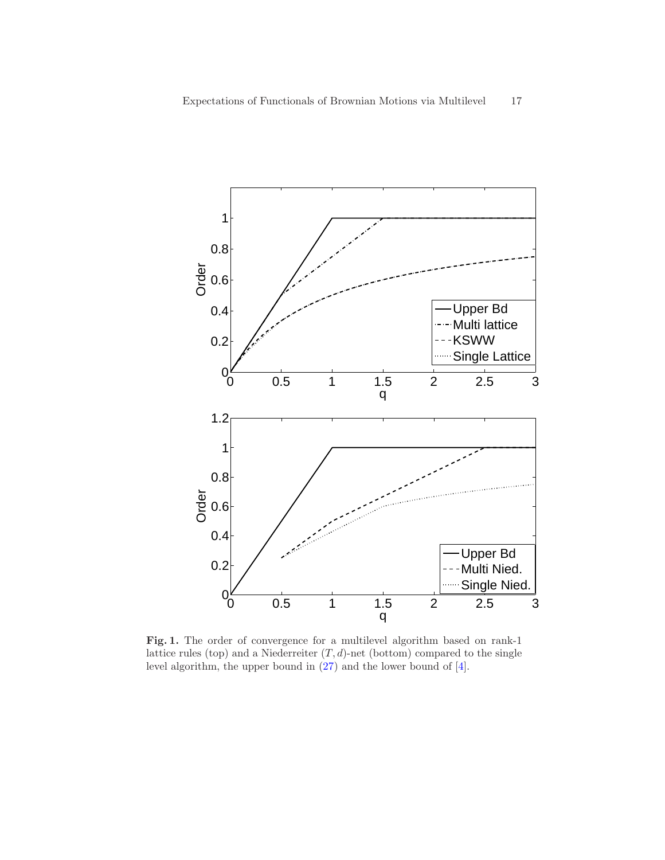

<span id="page-16-0"></span>Fig. 1. The order of convergence for a multilevel algorithm based on rank-1 lattice rules (top) and a Niederreiter  $(T, d)$ -net (bottom) compared to the single level algorithm, the upper bound in [\(27\)](#page-15-2) and the lower bound of [\[4\]](#page-18-3).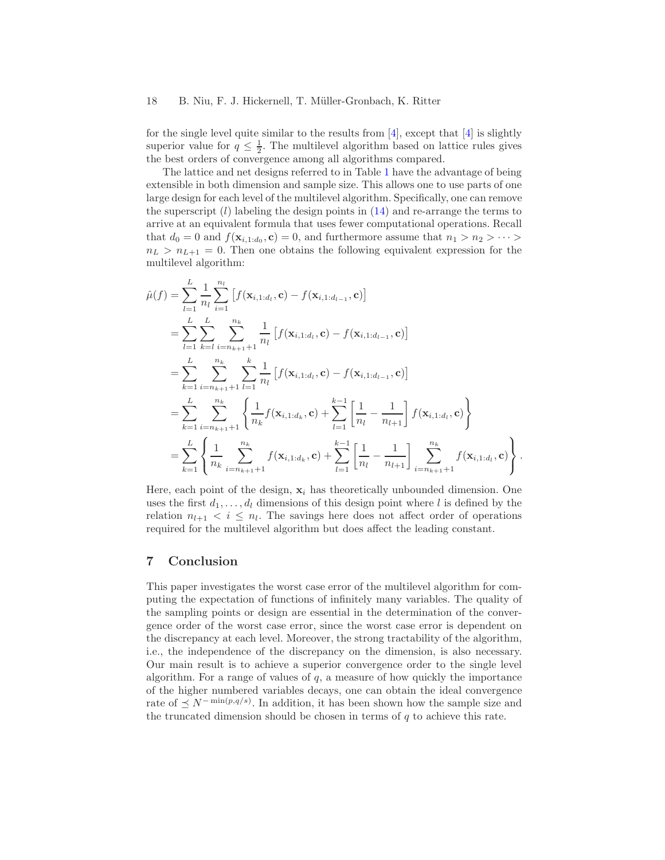for the single level quite similar to the results from  $\vert 4 \vert$ , except that  $\vert 4 \vert$  is slightly superior value for  $q \leq \frac{1}{2}$ . The multilevel algorithm based on lattice rules gives the best orders of convergence among all algorithms compared.

The lattice and net designs referred to in Table [1](#page-13-0) have the advantage of being extensible in both dimension and sample size. This allows one to use parts of one large design for each level of the multilevel algorithm. Specifically, one can remove the superscript  $(l)$  labeling the design points in  $(14)$  and re-arrange the terms to arrive at an equivalent formula that uses fewer computational operations. Recall that  $d_0 = 0$  and  $f(\mathbf{x}_{i,1:d_0}, \mathbf{c}) = 0$ , and furthermore assume that  $n_1 > n_2 > \cdots >$  $n_L > n_{L+1} = 0$ . Then one obtains the following equivalent expression for the multilevel algorithm:

$$
\hat{\mu}(f) = \sum_{l=1}^{L} \frac{1}{n_l} \sum_{i=1}^{n_l} \left[ f(\mathbf{x}_{i,1:d_l}, \mathbf{c}) - f(\mathbf{x}_{i,1:d_{l-1}}, \mathbf{c}) \right]
$$
\n
$$
= \sum_{l=1}^{L} \sum_{k=l}^{L} \sum_{i=n_{k+1}+1}^{n_k} \frac{1}{n_l} \left[ f(\mathbf{x}_{i,1:d_l}, \mathbf{c}) - f(\mathbf{x}_{i,1:d_{l-1}}, \mathbf{c}) \right]
$$
\n
$$
= \sum_{k=1}^{L} \sum_{i=n_{k+1}+1}^{n_k} \sum_{l=1}^{k} \frac{1}{n_l} \left[ f(\mathbf{x}_{i,1:d_l}, \mathbf{c}) - f(\mathbf{x}_{i,1:d_{l-1}}, \mathbf{c}) \right]
$$
\n
$$
= \sum_{k=1}^{L} \sum_{i=n_{k+1}+1}^{n_k} \left\{ \frac{1}{n_k} f(\mathbf{x}_{i,1:d_k}, \mathbf{c}) + \sum_{l=1}^{k-1} \left[ \frac{1}{n_l} - \frac{1}{n_{l+1}} \right] f(\mathbf{x}_{i,1:d_l}, \mathbf{c}) \right\}
$$
\n
$$
= \sum_{k=1}^{L} \left\{ \frac{1}{n_k} \sum_{i=n_{k+1}+1}^{n_k} f(\mathbf{x}_{i,1:d_k}, \mathbf{c}) + \sum_{l=1}^{k-1} \left[ \frac{1}{n_l} - \frac{1}{n_{l+1}} \right] \sum_{i=n_{k+1}+1}^{n_k} f(\mathbf{x}_{i,1:d_l}, \mathbf{c}) \right\}.
$$

Here, each point of the design,  $x_i$  has theoretically unbounded dimension. One uses the first  $d_1, \ldots, d_l$  dimensions of this design point where l is defined by the relation  $n_{l+1} < i \leq n_l$ . The savings here does not affect order of operations required for the multilevel algorithm but does affect the leading constant.

# 7 Conclusion

This paper investigates the worst case error of the multilevel algorithm for computing the expectation of functions of infinitely many variables. The quality of the sampling points or design are essential in the determination of the convergence order of the worst case error, since the worst case error is dependent on the discrepancy at each level. Moreover, the strong tractability of the algorithm, i.e., the independence of the discrepancy on the dimension, is also necessary. Our main result is to achieve a superior convergence order to the single level algorithm. For a range of values of  $q$ , a measure of how quickly the importance of the higher numbered variables decays, one can obtain the ideal convergence rate of  $\leq N^{-\min(p,q/s)}$ . In addition, it has been shown how the sample size and the truncated dimension should be chosen in terms of  $q$  to achieve this rate.